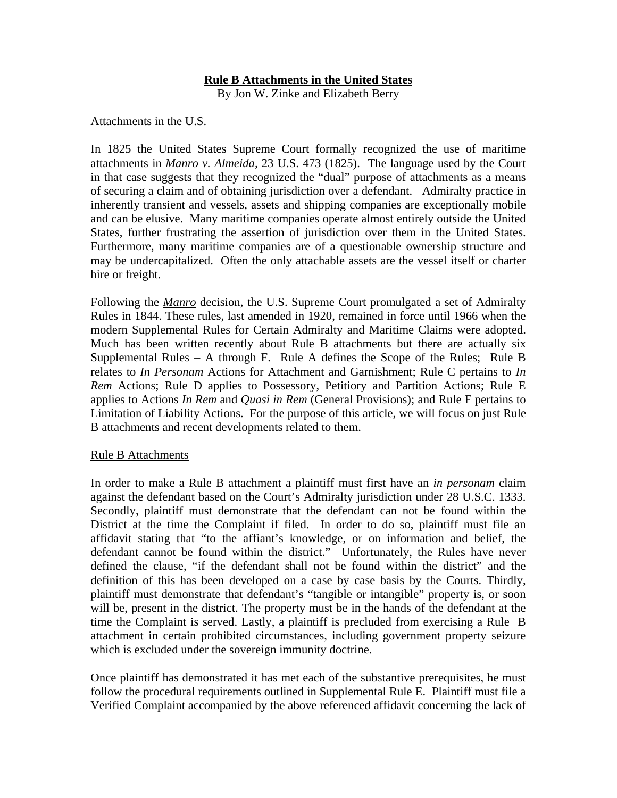## **Rule B Attachments in the United States**

By Jon W. Zinke and Elizabeth Berry

## Attachments in the U.S.

In 1825 the United States Supreme Court formally recognized the use of maritime attachments in *Manro v. Almeida,* 23 U.S. 473 (1825). The language used by the Court in that case suggests that they recognized the "dual" purpose of attachments as a means of securing a claim and of obtaining jurisdiction over a defendant. Admiralty practice in inherently transient and vessels, assets and shipping companies are exceptionally mobile and can be elusive. Many maritime companies operate almost entirely outside the United States, further frustrating the assertion of jurisdiction over them in the United States. Furthermore, many maritime companies are of a questionable ownership structure and may be undercapitalized. Often the only attachable assets are the vessel itself or charter hire or freight.

Following the *Manro* decision, the U.S. Supreme Court promulgated a set of Admiralty Rules in 1844. These rules, last amended in 1920, remained in force until 1966 when the modern Supplemental Rules for Certain Admiralty and Maritime Claims were adopted. Much has been written recently about Rule B attachments but there are actually six Supplemental Rules – A through F. Rule A defines the Scope of the Rules; Rule B relates to *In Personam* Actions for Attachment and Garnishment; Rule C pertains to *In Rem* Actions; Rule D applies to Possessory, Petitiory and Partition Actions; Rule E applies to Actions *In Rem* and *Quasi in Rem* (General Provisions); and Rule F pertains to Limitation of Liability Actions. For the purpose of this article, we will focus on just Rule B attachments and recent developments related to them.

## Rule B Attachments

In order to make a Rule B attachment a plaintiff must first have an *in personam* claim against the defendant based on the Court's Admiralty jurisdiction under 28 U.S.C. 1333. Secondly, plaintiff must demonstrate that the defendant can not be found within the District at the time the Complaint if filed. In order to do so, plaintiff must file an affidavit stating that "to the affiant's knowledge, or on information and belief, the defendant cannot be found within the district." Unfortunately, the Rules have never defined the clause, "if the defendant shall not be found within the district" and the definition of this has been developed on a case by case basis by the Courts. Thirdly, plaintiff must demonstrate that defendant's "tangible or intangible" property is, or soon will be, present in the district. The property must be in the hands of the defendant at the time the Complaint is served. Lastly, a plaintiff is precluded from exercising a Rule B attachment in certain prohibited circumstances, including government property seizure which is excluded under the sovereign immunity doctrine.

Once plaintiff has demonstrated it has met each of the substantive prerequisites, he must follow the procedural requirements outlined in Supplemental Rule E. Plaintiff must file a Verified Complaint accompanied by the above referenced affidavit concerning the lack of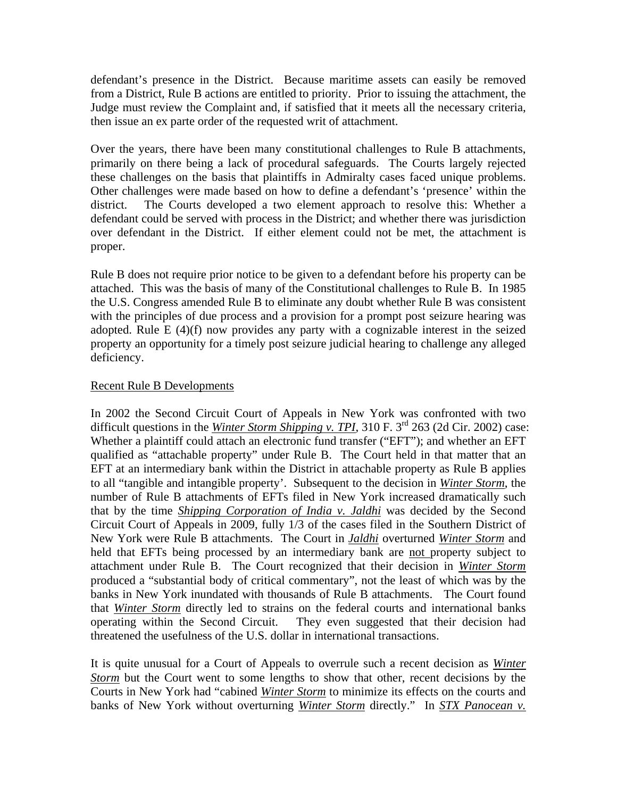defendant's presence in the District. Because maritime assets can easily be removed from a District, Rule B actions are entitled to priority. Prior to issuing the attachment, the Judge must review the Complaint and, if satisfied that it meets all the necessary criteria, then issue an ex parte order of the requested writ of attachment.

Over the years, there have been many constitutional challenges to Rule B attachments, primarily on there being a lack of procedural safeguards. The Courts largely rejected these challenges on the basis that plaintiffs in Admiralty cases faced unique problems. Other challenges were made based on how to define a defendant's 'presence' within the district. The Courts developed a two element approach to resolve this: Whether a defendant could be served with process in the District; and whether there was jurisdiction over defendant in the District. If either element could not be met, the attachment is proper.

Rule B does not require prior notice to be given to a defendant before his property can be attached. This was the basis of many of the Constitutional challenges to Rule B. In 1985 the U.S. Congress amended Rule B to eliminate any doubt whether Rule B was consistent with the principles of due process and a provision for a prompt post seizure hearing was adopted. Rule E (4)(f) now provides any party with a cognizable interest in the seized property an opportunity for a timely post seizure judicial hearing to challenge any alleged deficiency.

## Recent Rule B Developments

In 2002 the Second Circuit Court of Appeals in New York was confronted with two difficult questions in the *Winter Storm Shipping v. TPI*, 310 F. 3<sup>rd</sup> 263 (2d Cir. 2002) case: Whether a plaintiff could attach an electronic fund transfer ("EFT"); and whether an EFT qualified as "attachable property" under Rule B. The Court held in that matter that an EFT at an intermediary bank within the District in attachable property as Rule B applies to all "tangible and intangible property'. Subsequent to the decision in *Winter Storm*, the number of Rule B attachments of EFTs filed in New York increased dramatically such that by the time *Shipping Corporation of India v. Jaldhi* was decided by the Second Circuit Court of Appeals in 2009, fully 1/3 of the cases filed in the Southern District of New York were Rule B attachments. The Court in *Jaldhi* overturned *Winter Storm* and held that EFTs being processed by an intermediary bank are not property subject to attachment under Rule B. The Court recognized that their decision in *Winter Storm* produced a "substantial body of critical commentary", not the least of which was by the banks in New York inundated with thousands of Rule B attachments. The Court found that *Winter Storm* directly led to strains on the federal courts and international banks operating within the Second Circuit. They even suggested that their decision had threatened the usefulness of the U.S. dollar in international transactions.

It is quite unusual for a Court of Appeals to overrule such a recent decision as *Winter Storm* but the Court went to some lengths to show that other, recent decisions by the Courts in New York had "cabined *Winter Storm* to minimize its effects on the courts and banks of New York without overturning *Winter Storm* directly." In *STX Panocean v.*